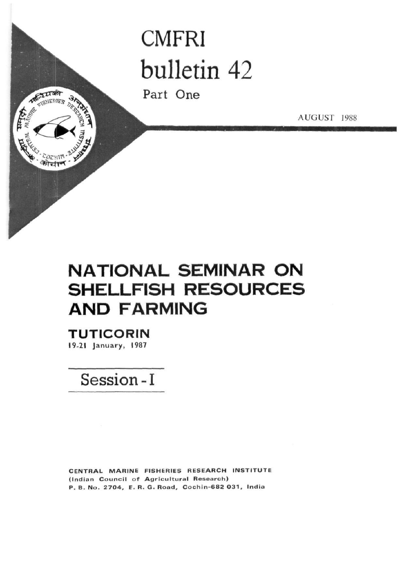# **CMFRI** bulletin 42

Part One

AUGUST 1988

## **NATIONAL SEMINAR ON SHELLFISH RESOURCES AND FARMING**

**TUTICORIN** 19-21 January, 1987

MALLIS

**TENERIES** 

חוויבס श्रीचीर

Session-I

CENTRAL MARINE FISHERIES RESEARCH INSTITUTE (Indian Council of Agricultural Research) P. B. No. 2704, E. R. G. Road, Cochin-682 031, India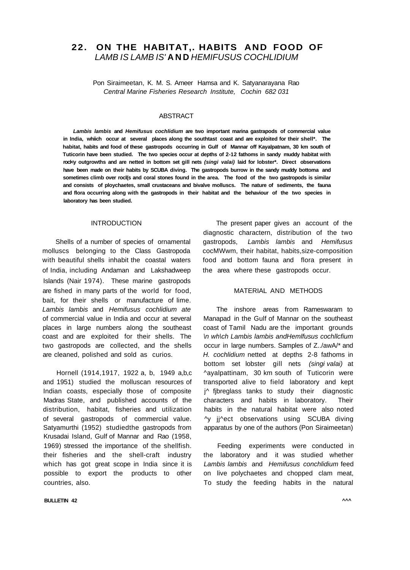## **22. ON THE HABITAT,. HABITS AND FOOD OF**  LAMB IS LAMB IS' **AN D** HEMIFUSUS COCHLIDIUM

Pon Siraimeetan, K. M. S. Ameer Hamsa and K. Satyanarayana Rao Central Marine Fisheries Research Institute, Cochin 682 031

#### ABSTRACT

**Lambis lambis and Hemifusus cochlidium are two important marina gastrapods of commercial value in India, whiich occur at several places along the southtast coast and are exploited for their shell\*. The**  habitat, habits and food of these gastropods occurring in Gulf of Mannar off Kayalpatnam, 30 km south of **Tuticorin have been studied. The two species occur at depths of 2-12 fathoms in sandy muddy habitat with rocl<y outgrowths and are netted in bottom set gill nets (singi valai) laid for lobster\*. Direct observations have been made on their habits by SCUBA diving. The gastropods burrow in the sandy muddy bottoma and sometimes climb over rocl(s and coral stones found in the area. The food of the two gastropods is similar and consists of ploychaetes, small crustaceans and bivalve molluscs. The nature of sediments, the fauna and flora occurring along with the gastropods in their habitat and the behaviour of the two species in laboratory has been studied.** 

molluscs belonging to the Class Gastropoda cocMWwm, their habitat, habits,size-composition with beautiful shells inhabit the coastal waters food and bottom fauna and flora present in of India, including Andaman and Lakshadweep the area where these gastropods occur. Islands (Nair 1974). These marine gastropods are fished in many parts of the world for food, MATERIAL AND METHODS bait, for their shells or manufacture of lime. Lambis lambis and Hemifusus cochlidium ate The inshore areas from Rameswaram to of commercial value in India and occur at several Manapad in the Gulf of Mannar on the southeast places in large numbers along the southeast coast of Tamil Nadu are the important grounds coast and are exploited for their shells. The \n wh\ch Lambis lambis andHemlfusus cochllcfium two gastropods are collected, and the shells occur in large numbers. Samples of Z../awA/\* and are cleaned, polished and sold as curios. H. cochlidium netted at depths 2-8 fathoms in

and 1951) studied the molluscan resources of transported alive to field laboratory and kept Indian coasts, especially those of composite  $\mu$  fibreglass tanks to study their diagnostic Madras State, and published accounts of the characters and habits in laboratory. Their distribution, habitat, fisheries and utilization habits in the natural habitat were also noted of several gastropods of commercial value. ^y jj^ect observations using SCUBA diving Satyamurthi (1952) studiedthe gastropods from apparatus by one of the authors (Pon Siraimeetan) Krusadai Island, Gulf of Mannar and Rao (1958, 1969) stressed the importance of the shellfish. Feeding experiments were conducted in their fisheries and the shell-craft industry the laboratory and it was studied whether which has got great scope in India since it is Lambis lambis and Hemifusus conchlidium feed possible to export the products to other on live polychaetes and chopped clam meat, countries, also. To study the feeding habits in the natural

INTRODUCTION The present paper gives an account of the diagnostic charactern, distribution of the two Shells of a number of species of ornamental gastropods, Lambis lambis and Hemifusus

bottom set lobster gill nets (singi valai) at Hornell (1914,1917, 1922 a, b, 1949 a,b,c Aayalpattinam, 30 km south of Tuticorin were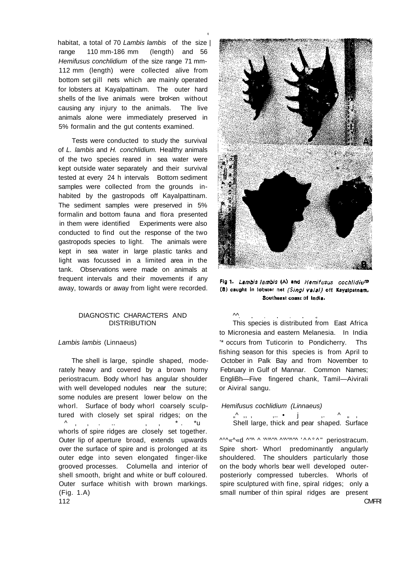habitat, a total of 70 Lambis lambis of the size I range 110 mm-186 mm (length) and 56 Hemifusus conchlidium of the size range 71 mm-112 mm (length) were collected alive from bottom set gill nets which are mainly operated for lobsters at Kayalpattinam. The outer hard shells of the live animals were broken without causing any injury to the animals. The live animals alone were immediately preserved in 5% formalin and the gut contents examined.

**t** 

Tests were conducted to study the survival of L. lambis and H. conchlidium. Healthy animals of the two species reared in sea water were kept outside water separately and their survival tested at every 24 h intervals Bottom sediment samples were collected from the grounds inhabited by the gastropods off Kayalpattinam. The sediment samples were preserved in 5% formalin and bottom fauna and flora presented in them were identified Experiments were also conducted to find out the response of the two gastropods species to light. The animals were kept in sea water in large plastic tanks and light was focussed in a limited area in the tank. Observations were made on animals at frequent intervals and their movements if any away, towards or away from light were recorded.

## DIAGNOSTIC CHARACTERS AND  $\sim$

rately heavy and covered by a brown horny February in Gulf of Mannar. Common Names; periostracum. Body whorl has angular shoulder EngliBh—Five fingered chank, Tamil—Aivirali with well developed nodules near the suture; or Aiviral sangu. some nodules are present lower below on the whorl. Surface of body whorl coarsely sculp- Hemifusus cochlidium (Linnaeus) tured with closely set spiral ridges; on the "^ ,, , ,.. • j ,. ^ " , A, , . .. , , , \* . \*u Shell large, thick and pear shaped. Surface whorls of spire ridges are closely set together. Outer lip of aperture broad, extends upwards ^º^«^«d ^"^ ^ '^'^ ^'^"^ '^^ '^ periostracum. over the surface of spire and is prolonged at its Spire short- Whorl predominantly angularly outer edge into seven elongated finger-like shouldered. The shoulders particularly those grooved processes. Columella and interior of on the body whorls bear well developed outershell smooth, bright and white or buff coloured. posteriorly compressed tubercles. Whorls of Outer surface whitish with brown markings. spire sculptured with fine, spiral ridges; only a (Fig. 1.A) small number of thin spiral ridges are present 112 **CMFRI** 



Fig 1. Lambis lambis (A) and Hemifusus cochlidium (8) caught in lobster net (Singi valai) off Kayalpatnam. Southeast coast of India.

DISTRIBUTION This species is distributed from East Africa to Micronesia and eastern Melanesia. In India Lambis lambis (Linnaeus)  $\blacksquare$  '\* occurs from Tuticorin to Pondicherry. Ths fishing season for this species is from April to The shell is large, spindle shaped, mode- October in Palk Bay and from November to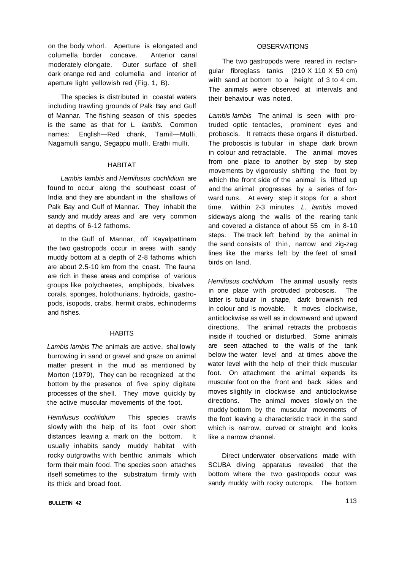on the body whorl. Aperture is elongated and columella border concave. Anterior canal moderately elongate. Outer surface of shell dark orange red and columella and interior of aperture light yellowish red (Fig. 1, B).

The species is distributed in coastal waters including trawling grounds of Palk Bay and Gulf of Mannar. The fishing season of this species is the same as that for  $L$ . *lambis*. Common names: English—Red chank, Tamil—Mulli, Nagamulli sangu, Segappu mulli, Erathi mulli.

#### HABITAT

Lambis lambis and Hemifusus cochlidium are found to occur along the southeast coast of India and they are abundant in the shallows of Palk Bay and Gulf of Mannar. They inhabit the sandy and muddy areas and are very common at depths of 6-12 fathoms.

In the Gulf of Mannar, off Kayalpattinam the two gastropods occur in areas with sandy muddy bottom at a depth of 2-8 fathoms which are about 2.5-10 km from the coast. The fauna are rich in these areas and comprise of various groups like polychaetes, amphipods, bivalves, corals, sponges, holothurians, hydroids, gastropods, isopods, crabs, hermit crabs, echinoderms and fishes.

#### **HABITS**

Lambis lambis The animals are active, shal lowly burrowing in sand or gravel and graze on animal matter present in the mud as mentioned by Morton (1979), They can be recognized at the bottom by the presence of five spiny digitate processes of the shell. They move quickly by the active muscular movements of the foot.

Hemifusus cochlidium This species crawls slowly with the help of its foot over short distances leaving a mark on the bottom. It usually inhabits sandy muddy habitat with rocky outgrowths with benthic animals which form their main food. The species soon attaches itself sometimes to the substratum firmly with its thick and broad foot.

#### **OBSERVATIONS**

The two gastropods were reared in rectangular fibreglass tanks (210 X 110 X 50 cm) with sand at bottom to a height of 3 to 4 cm. The animals were observed at intervals and their behaviour was noted.

Lambis lambis The animal is seen with protruded optic tentacles, prominent eyes and proboscis. It retracts these organs if disturbed. The proboscis is tubular in shape dark brown in colour and retractable. The animal moves from one place to another by step by step movements by vigorously shifting the foot by which the front side of the animal is lifted up and the animal progresses by a series of forward runs. At every step it stops for a short time. Within 2-3 minutes L. lambis moved sideways along the walls of the rearing tank and covered a distance of about 55 cm in 8-10 steps. The track left behind by the animal in the sand consists of thin, narrow and zig-zag lines like the marks left by the feet of small birds on land.

Hemifusus cochlidium The animal usually rests in one place with protruded proboscis. The latter is tubular in shape, dark brownish red in colour and is movable. It moves clockwise, anticlockwise as well as in downward and upward directions. The animal retracts the proboscis inside if touched or disturbed. Some animals are seen attached to the walls of the tank below the water level and at times above the water level with the help of their thick muscular foot. On attachment the animal expends its muscular foot on the front and back sides and moves slightly in clockwise and anticlockwise directions. The animal moves slowly on the muddy bottom by the muscular movements of the foot leaving a characteristic track in the sand which is narrow, curved or straight and looks like a narrow channel.

Direct underwater observations made with SCUBA diving apparatus revealed that the bottom where the two gastropods occur was sandy muddy with rocky outcrops. The bottom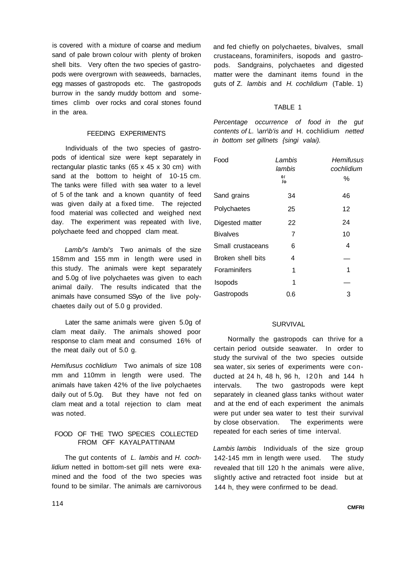is covered with a mixture of coarse and medium sand of pale brown colour with plenty of broken shell bits. Very often the two species of gastropods were overgrown with seaweeds, barnacles, egg masses of gastropods etc. The gastropods burrow in the sandy muddy bottom and sometimes climb over rocks and coral stones found in the area.

#### FEEDING EXPERIMENTS

Individuals of the two species of gastropods of identical size were kept separately in rectangular plastic tanks (65 x 45 x 30 cm) with sand at the bottom to height of 10-15 cm. The tanks were filled with sea water to a level of 5 of the tank and a known quantity of feed was given daily at a fixed time. The rejected food material was collected and weighed next day. The experiment was repeated with live, polychaete feed and chopped clam meat.

Lamb/'s lambi's Two animals of the size 158mm and 155 mm in length were used in this study. The animals were kept separately and 5.0g of live polychaetes was given to each animal daily. The results indicated that the animals have consumed SSyo of the live polychaetes daily out of 5.0 g provided.

Later the same animals were given 5.0g of clam meat daily. The animals showed poor response to clam meat and consumed 16% of the meat daily out of 5.0 g.

Hemifusus cochlidium Two animals of size 108 mm and 110mm in length were used. The animals have taken 42% of the live polychaetes daily out of 5.0g. But they have not fed on clam meat and a total rejection to clam meat was noted.

### FOOD OF THE TWO SPECIES COLLECTED FROM OFF KAYALPATTINAM

The gut contents of L. lambis and H. cochlidium netted in bottom-set gill nets were examined and the food of the two species was found to be similar. The animals are carnivorous and fed chiefly on polychaetes, bivalves, small crustaceans, foraminifers, isopods and gastropods. Sandgrains, polychaetes and digested matter were the daminant items found in the guts of Z. lambis and H. cochlidium (Table. 1)

#### TABLE 1

Percentage occurrence of food in the gut contents of L. \arr\b'is and H. cochlidium netted in bottom set gillnets {singi valai).

| Food              | Lambis<br>lambis<br>0/<br>/o | Hemifusus<br>cochlidium<br>℅ |
|-------------------|------------------------------|------------------------------|
| Sand grains       | 34                           | 46                           |
| Polychaetes       | 25                           | 12                           |
| Digested matter   | 22                           | 24                           |
| <b>Bivalves</b>   | 7                            | 10                           |
| Small crustaceans | 6                            | 4                            |
| Broken shell bits | 4                            |                              |
| Foraminifers      | 1                            | 1                            |
| <b>Isopods</b>    | 1                            |                              |
| Gastropods        | 0.6                          | 3                            |
|                   |                              |                              |

### SURVIVAL

Normally the gastropods can thrive for a certain period outside seawater. In order to study the survival of the two species outside sea water, six series of experiments were conducted at 24 h, 48 h, 96 h, I20h and 144 h intervals. The two gastropods were kept separately in cleaned glass tanks without water and at the end of each experiment the animals were put under sea water to test their survival by close observation. The experiments were repeated for each series of time interval.

Lambis lambis Individuals of the size group 142-145 mm in length were used. The study revealed that till 120 h the animals were alive, slightly active and retracted foot inside but at 144 h, they were confirmed to be dead.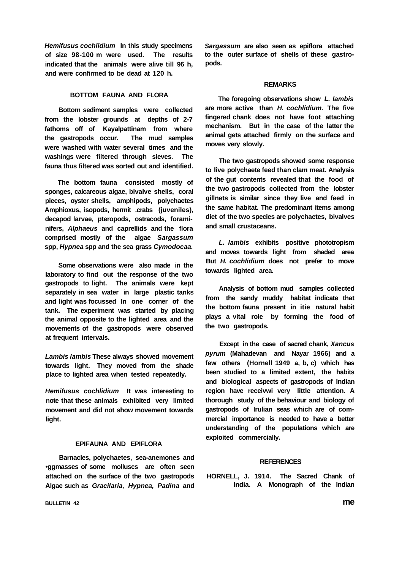**Hemifusus cochlidium In this study specimens of size 98-100 m were used. The results indicated that the animals were alive till 96 h, and were confirmed to be dead at 120 h.** 

#### **BOTTOM FAUNA AND FLORA**

**Bottom sediment samples were collected from the lobster grounds at depths of 2-7 fathoms off of Kayalpattinam from where the gastropods occur. The mud samples were washed with water several times and the washings were filtered through sieves. The fauna thus filtered was sorted out and identified.** 

**The bottom fauna consisted mostly of sponges, calcareous algae, bivalve shells, coral pieces, oyster shells, amphipods, polychaetes Amphioxus, isopods, hermit .crabs (juveniles), decapod larvae, pteropods, ostracods, foraminifers, Alphaeus and caprellids and the flora comprised mostly of the algae Sargassum spp, Hypnea spp and the sea grass Cymodocaa.** 

**Some observations were also made in the laboratory to find out the response of the two gastropods to light. The animals were kept separately in sea water in large plastic tanks and light was focussed In one corner of the tank. The experiment was started by placing the animal opposite to the lighted area and the movements of the gastropods were observed at frequent intervals.** 

**Lambis lambis These always showed movement towards light. They moved from the shade place to lighted area when tested repeatedly.** 

**Hemifusus cochlidium It was interesting to note that these animals exhibited very limited movement and did not show movement towards light.** 

## **EPIFAUNA AND EPIFLORA**

**Barnacles, polychaetes, sea-anemones and •ggmasses of some molluscs are often seen attached on the surface of the two gastropods Algae such as Gracilaria, Hypnea, Padina and** 

**Sargassum are also seen as epiflora attached to the outer surface of shells of these gastropods.** 

#### **REMARKS**

**The foregoing observations show L. lambis are more active than H. cochlidium. The five fingered chank does not have foot attaching mechanism. But in the case of the latter the animal gets attached firmly on the surface and moves very slowly.** 

**The two gastropods showed some response to live polychaete feed than clam meat. Analysis of the gut contents revealed that the food of the two gastropods collected from the lobster gillnets is similar since they live and feed in the same habitat. The predominant items among diet of the two species are polychaetes, bivalves and small crustaceans.** 

**L. lambis exhibits positive phototropism and moves towards light from shaded area But H. cochlidium does not prefer to move towards lighted area.** 

**Analysis of bottom mud samples collected from the sandy muddy habitat indicate that the bottom fauna present in itie natural habit plays a vital role by forming the food of the two gastropods.** 

**Except in the case of sacred chank, Xancus pyrum (Mahadevan and Nayar 1966) and a few others (Hornell 1949 a, b, c) which has been studied to a limited extent, the habits and biological aspects of gastropods of Indian region have receivwi very little attention. A thorough study of the behaviour and biology of gastropods of Irulian seas which are of commercial importance is needed to have a better understanding of the populations which are exploited commercially.** 

#### **REFERENCES**

**HORNELL, J. 1914. The Sacred Chank of India. A Monograph of the Indian**